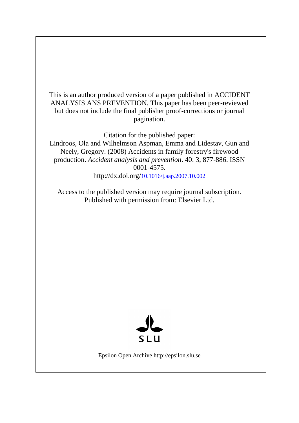This is an author produced version of a paper published in ACCIDENT ANALYSIS ANS PREVENTION. This paper has been peer-reviewed but does not include the final publisher proof-corrections or journal pagination.

Citation for the published paper:

Lindroos, Ola and Wilhelmson Aspman, Emma and Lidestav, Gun and Neely, Gregory. (2008) Accidents in family forestry's firewood production. *Accident analysis and prevention*. 40: 3, 877-886. ISSN 0001-4575.

http://dx.doi.org/[10.1016/j.aap.2007.10.002](http://dx.doi.org/10.1016/j.aap.2007.10.002)

Access to the published version may require journal subscription. Published with permission from: Elsevier Ltd.



Epsilon Open Archive http://epsilon.slu.se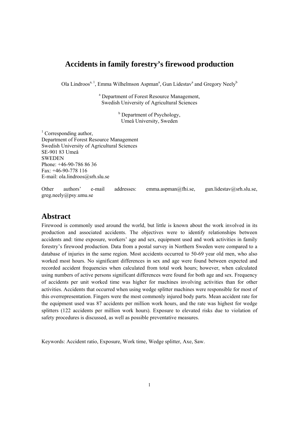# **Accidents in family forestry's firewood production**

Ola Lindroos<sup>a, 1</sup>, Emma Wilhelmson Aspman<sup>a</sup>, Gun Lidestav<sup>a</sup> and Gregory Neely<sup>b</sup>

a Department of Forest Resource Management, Swedish University of Agricultural Sciences

> <sup>b</sup> Department of Psychology, Umeå University, Sweden

<sup>1</sup> Corresponding author, Department of Forest Resource Management Swedish University of Agricultural Sciences SE-901 83 Umeå SWEDEN Phone: +46-90-786 86 36 Fax: +46-90-778 116 E-mail: ola.lindroos@srh.slu.se

Other authors' e-mail addresses: emma.aspman@fhi.se, gun.lidestav@srh.slu.se, greg.neely@psy.umu.se

## **Abstract**

Firewood is commonly used around the world, but little is known about the work involved in its production and associated accidents. The objectives were to identify relationships between accidents and: time exposure, workers' age and sex, equipment used and work activities in family forestry's firewood production. Data from a postal survey in Northern Sweden were compared to a database of injuries in the same region. Most accidents occurred to 50-69 year old men, who also worked most hours. No significant differences in sex and age were found between expected and recorded accident frequencies when calculated from total work hours; however, when calculated using numbers of active persons significant differences were found for both age and sex. Frequency of accidents per unit worked time was higher for machines involving activities than for other activities. Accidents that occurred when using wedge splitter machines were responsible for most of this overrepresentation. Fingers were the most commonly injured body parts. Mean accident rate for the equipment used was 87 accidents per million work hours, and the rate was highest for wedge splitters (122 accidents per million work hours). Exposure to elevated risks due to violation of safety procedures is discussed, as well as possible preventative measures.

Keywords: Accident ratio, Exposure, Work time, Wedge splitter, Axe, Saw.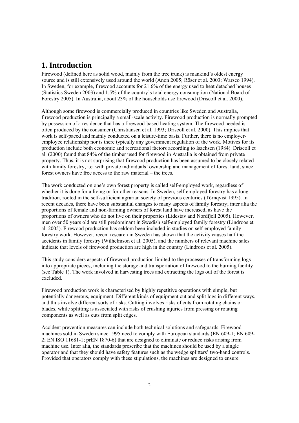# **1. Introduction**

Firewood (defined here as solid wood, mainly from the tree trunk) is mankind's oldest energy source and is still extensively used around the world (Anon 2005; Röser et al. 2003; Warsco 1994). In Sweden, for example, firewood accounts for 21.6% of the energy used to heat detached houses (Statistics Sweden 2003) and 1.5% of the country's total energy consumption (National Board of Forestry 2005). In Australia, about 23% of the households use firewood (Driscoll et al. 2000).

Although some firewood is commercially produced in countries like Sweden and Australia, firewood production is principally a small-scale activity. Firewood production is normally prompted by possession of a residence that has a firewood-based heating system. The firewood needed is often produced by the consumer (Christiansen et al. 1993; Driscoll et al. 2000). This implies that work is self-paced and mainly conducted on a leisure-time basis. Further, there is no employeremployee relationship nor is there typically any government regulation of the work. Motives for its production include both economic and recreational factors according to Isachsen (1984). Driscoll et al. (2000) found that 84% of the timber used for firewood in Australia is obtained from private property. Thus, it is not surprising that firewood production has been assumed to be closely related with family forestry, i.e. with private individuals' ownership and management of forest land, since forest owners have free access to the raw material – the trees.

The work conducted on one's own forest property is called self-employed work, regardless of whether it is done for a living or for other reasons. In Sweden, self-employed forestry has a long tradition, rooted in the self-sufficient agrarian society of previous centuries (Törnqvist 1995). In recent decades, there have been substantial changes to many aspects of family forestry; inter alia the proportions of female and non-farming owners of forest land have increased, as have the proportions of owners who do not live on their properties (Lidestav and Nordfjell 2005). However, men over 50 years old are still predominant in Swedish self-employed family forestry (Lindroos et al. 2005). Firewood production has seldom been included in studies on self-employed family forestry work. However, recent research in Sweden has shown that the activity causes half the accidents in family forestry (Wilhelmson et al. 2005), and the numbers of relevant machine sales indicate that levels of firewood production are high in the country (Lindroos et al. 2005).

This study considers aspects of firewood production limited to the processes of transforming logs into appropriate pieces, including the storage and transportation of firewood to the burning facility (see Table 1). The work involved in harvesting trees and extracting the logs out of the forest is excluded.

Firewood production work is characterised by highly repetitive operations with simple, but potentially dangerous, equipment. Different kinds of equipment cut and split logs in different ways, and thus involve different sorts of risks. Cutting involves risks of cuts from rotating chains or blades, while splitting is associated with risks of crushing injuries from pressing or rotating components as well as cuts from split edges.

Accident prevention measures can include both technical solutions and safeguards. Firewood machines sold in Sweden since 1995 need to comply with European standards (EN 609-1; EN 609- 2; EN ISO 11681-1; prEN 1870-6) that are designed to eliminate or reduce risks arising from machine use. Inter alia, the standards prescribe that the machines should be used by a single operator and that they should have safety features such as the wedge splitters' two-hand controls. Provided that operators comply with these stipulations, the machines are designed to ensure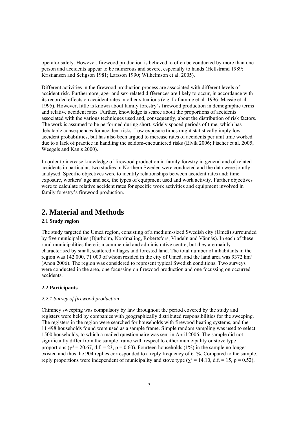operator safety. However, firewood production is believed to often be conducted by more than one person and accidents appear to be numerous and severe, especially to hands (Hellstrand 1989; Kristiansen and Seligson 1981; Larsson 1990; Wilhelmson et al. 2005).

Different activities in the firewood production process are associated with different levels of accident risk. Furthermore, age- and sex-related differences are likely to occur, in accordance with its recorded effects on accident rates in other situations (e.g. Laflamme et al. 1996; Massie et al. 1995). However, little is known about family forestry's firewood production in demographic terms and relative accident rates. Further, knowledge is scarce about the proportions of accidents associated with the various techniques used and, consequently, about the distribution of risk factors. The work is assumed to be performed during short, widely spaced periods of time, which has debatable consequences for accident risks. Low exposure times might statistically imply low accident probabilities, but has also been argued to increase rates of accidents per unit time worked due to a lack of practice in handling the seldom-encountered risks (Elvik 2006; Fischer et al. 2005; Weegels and Kanis 2000).

In order to increase knowledge of firewood production in family forestry in general and of related accidents in particular, two studies in Northern Sweden were conducted and the data were jointly analysed. Specific objectives were to identify relationships between accident rates and: time exposure, workers' age and sex, the types of equipment used and work activity. Further objectives were to calculate relative accident rates for specific work activities and equipment involved in family forestry's firewood production.

# **2. Material and Methods**

## **2.1 Study region**

The study targeted the Umeå region, consisting of a medium-sized Swedish city (Umeå) surrounded by five municipalities (Bjurholm, Nordmaling, Robertsfors, Vindeln and Vännäs). In each of these rural municipalities there is a commercial and administrative centre, but they are mainly characterised by small, scattered villages and forested land. The total number of inhabitants in the region was 142 000, 71 000 of whom resided in the city of Umeå, and the land area was 9372 km<sup>2</sup> (Anon 2006). The region was considered to represent typical Swedish conditions. Two surveys were conducted in the area, one focussing on firewood production and one focussing on occurred accidents.

#### **2.2 Participants**

## *2.2.1 Survey of firewood production*

Chimney sweeping was compulsory by law throughout the period covered by the study and registers were held by companies with geographically distributed responsibilities for the sweeping. The registers in the region were searched for households with firewood heating systems, and the 11 498 households found were used as a sample frame. Simple random sampling was used to select 1500 households, to which a mailed questionnaire was sent in April 2006. The sample did not significantly differ from the sample frame with respect to either municipality or stove type proportions ( $\chi^2 = 20.67$ , d.f. = 23, p = 0.60). Fourteen households (1%) in the sample no longer existed and thus the 904 replies corresponded to a reply frequency of 61%. Compared to the sample, reply proportions were independent of municipality and stove type ( $\gamma^2$  = 14.10, d.f. = 15, p = 0.52),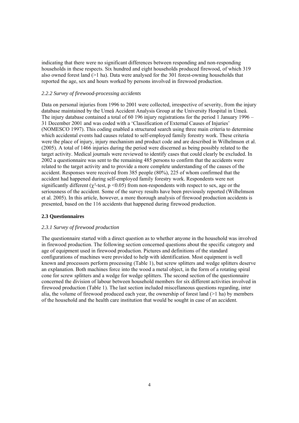indicating that there were no significant differences between responding and non-responding households in these respects. Six hundred and eight households produced firewood, of which 319 also owned forest land (>1 ha). Data were analysed for the 301 forest-owning households that reported the age, sex and hours worked by persons involved in firewood production.

#### *2.2.2 Survey of firewood-processing accidents*

Data on personal injuries from 1996 to 2001 were collected, irrespective of severity, from the injury database maintained by the Umeå Accident Analysis Group at the University Hospital in Umeå. The injury database contained a total of 60 196 injury registrations for the period 1 January 1996 – 31 December 2001 and was coded with a 'Classification of External Causes of Injuries' (NOMESCO 1997). This coding enabled a structured search using three main criteria to determine which accidental events had causes related to self-employed family forestry work. These criteria were the place of injury, injury mechanism and product code and are described in Wilhelmson et al. (2005). A total of 1466 injuries during the period were discerned as being possibly related to the target activity. Medical journals were reviewed to identify cases that could clearly be excluded. In 2002 a questionnaire was sent to the remaining 485 persons to confirm that the accidents were related to the target activity and to provide a more complete understanding of the causes of the accident. Responses were received from 385 people (80%), 225 of whom confirmed that the accident had happened during self-employed family forestry work. Respondents were not significantly different ( $\gamma^2$ -test, p <0.05) from non-respondents with respect to sex, age or the seriousness of the accident. Some of the survey results have been previously reported (Wilhelmson et al. 2005). In this article, however, a more thorough analysis of firewood production accidents is presented, based on the 116 accidents that happened during firewood production.

#### **2.3 Questionnaires**

#### *2.3.1 Survey of firewood production*

The questionnaire started with a direct question as to whether anyone in the household was involved in firewood production. The following section concerned questions about the specific category and age of equipment used in firewood production. Pictures and definitions of the standard configurations of machines were provided to help with identification. Most equipment is well known and processors perform processing (Table 1), but screw splitters and wedge splitters deserve an explanation. Both machines force into the wood a metal object, in the form of a rotating spiral cone for screw splitters and a wedge for wedge splitters. The second section of the questionnaire concerned the division of labour between household members for six different activities involved in firewood production (Table 1). The last section included miscellaneous questions regarding, inter alia, the volume of firewood produced each year, the ownership of forest land  $(>1$  ha) by members of the household and the health care institution that would be sought in case of an accident.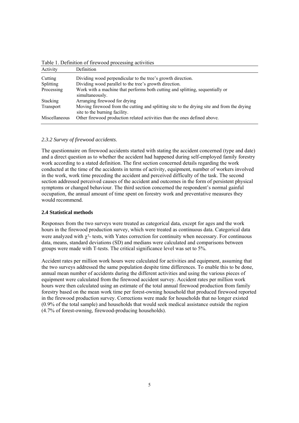| Activity         | Definition                                                                                                                  |
|------------------|-----------------------------------------------------------------------------------------------------------------------------|
| Cutting          | Dividing wood perpendicular to the tree's growth direction.                                                                 |
| <b>Splitting</b> | Dividing wood parallel to the tree's growth direction.                                                                      |
| Processing       | Work with a machine that performs both cutting and splitting, sequentially or<br>simultaneously.                            |
| Stacking         | Arranging firewood for drying                                                                                               |
| Transport        | Moving firewood from the cutting and splitting site to the drying site and from the drying<br>site to the burning facility. |
| Miscellaneous    | Other firewood production related activities than the ones defined above.                                                   |

Table 1. Definition of firewood processing activities

### *2.3.2 Survey of firewood accidents*.

The questionnaire on firewood accidents started with stating the accident concerned (type and date) and a direct question as to whether the accident had happened during self-employed family forestry work according to a stated definition. The first section concerned details regarding the work conducted at the time of the accidents in terms of activity, equipment, number of workers involved in the work, work time preceding the accident and perceived difficulty of the task. The second section addressed perceived causes of the accident and outcomes in the form of persistent physical symptoms or changed behaviour. The third section concerned the respondent's normal gainful occupation, the annual amount of time spent on forestry work and preventative measures they would recommend.

## **2.4 Statistical methods**

Responses from the two surveys were treated as categorical data, except for ages and the work hours in the firewood production survey, which were treated as continuous data. Categorical data were analyzed with  $\gamma^2$ - tests, with Yates correction for continuity when necessary. For continuous data, means, standard deviations (SD) and medians were calculated and comparisons between groups were made with T-tests. The critical significance level was set to 5%.

Accident rates per million work hours were calculated for activities and equipment, assuming that the two surveys addressed the same population despite time differences. To enable this to be done, annual mean number of accidents during the different activities and using the various pieces of equipment were calculated from the firewood accident survey. Accident rates per million work hours were then calculated using an estimate of the total annual firewood production from family forestry based on the mean work time per forest-owning household that produced firewood reported in the firewood production survey. Corrections were made for households that no longer existed (0.9% of the total sample) and households that would seek medical assistance outside the region (4.7% of forest-owning, firewood-producing households).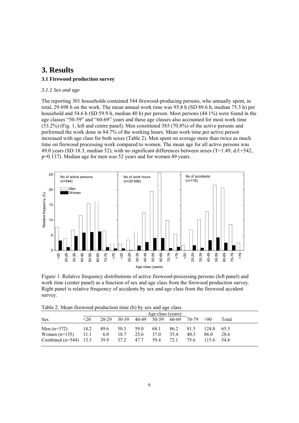## **3. Results 3.1 Firewood production survey**

### *3.1.1 Sex and age*

The reporting 301 households contained 544 firewood-producing persons, who annually spent, in total, 29 698 h on the work. The mean annual work time was 95.8 h (SD 89.6 h, median 75.5 h) per household and 54.6 h (SD 59.9 h, median 40 h) per person. Most persons (44.1%) were found in the age classes "50-59" and "60-69" years and these age classes also accounted for most work time (53.2%) (Fig. 1, left and centre panel). Men constituted 385 (70.8%) of the active persons and performed the work done in 84.7% of the working hours. Mean work time per active person increased with age class for both sexes (Table 2). Men spent on average more than twice as much time on firewood processing work compared to women. The mean age for all active persons was 49.0 years (SD 18.3, median 52), with no significant differences between sexes (T=1.49, d.f.=542, p=0.137). Median age for men was 52 years and for women 49 years.



Figure 1. Relative frequency distributions of active firewood-processing persons (left panel) and work time (center panel) as a function of sex and age class from the firewood production survey. Right panel is relative frequency of accidents by sex and age class from the firewood accident survey.

Table 2. Mean firewood production time (h) by sex and age class

| Age class (years)<br>$30-39$ $40-49$ $50-59$ $60-69$ $70-79$ $>80$<br>$20-29$<br>$20$<br>68.1<br>14.2<br>49.6 50.3 59.0<br>86.2<br>81.5<br>124.8 65.3 |     |      |      |      |      |       |  |  |  |
|-------------------------------------------------------------------------------------------------------------------------------------------------------|-----|------|------|------|------|-------|--|--|--|
| <b>Sex</b><br>Men $(n=372)$                                                                                                                           |     |      |      |      |      |       |  |  |  |
|                                                                                                                                                       |     |      |      |      |      | Total |  |  |  |
| Women $(n=155)$ 11.1<br>25.6 37.0<br>Combined (n=544) $13.3$ $39.9$ $37.2$ $47.7$<br>59.4<br>72.1<br>75.6<br>$115.6$ 54.6                             | 6.0 | 18.7 | 35.4 | 40.3 | 86.0 | 28.6  |  |  |  |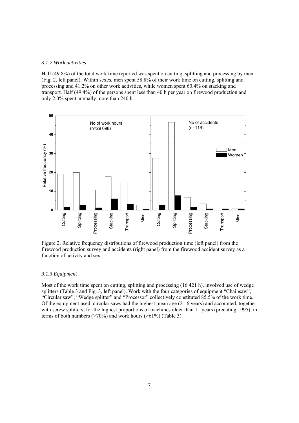#### *3.1.2 Work activities*

Half (49.8%) of the total work time reported was spent on cutting, splitting and processing by men (Fig. 2, left panel). Within sexes, men spent 58.8% of their work time on cutting, splitting and processing and 41.2% on other work activities, while women spent 60.4% on stacking and transport. Half (49.4%) of the persons spent less than 40 h per year on firewood production and only 2.0% spent annually more than 240 h.



Figure 2. Relative frequency distributions of firewood production time (left panel) from the firewood production survey and accidents (right panel) from the firewood accident survey as a function of activity and sex.

#### *3.1.3 Equipment*

Most of the work time spent on cutting, splitting and processing (16 421 h), involved use of wedge splitters (Table 3 and Fig. 3, left panel). Work with the four categories of equipment "Chainsaw", "Circular saw", "Wedge splitter" and "Processor" collectively constituted 85.5% of the work time. Of the equipment used, circular saws had the highest mean age (21.6 years) and accounted, together with screw splitters, for the highest proportions of machines older than 11 years (predating 1995), in terms of both numbers ( $>70\%$ ) and work hours ( $>61\%$ ) (Table 3).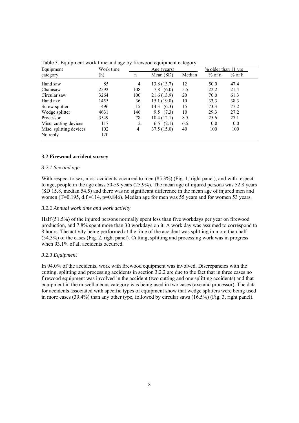| Equipment               | Work time |     | Age (years)   |        | $%$ older than 11 yrs |          |
|-------------------------|-----------|-----|---------------|--------|-----------------------|----------|
| category                | (h)       | n   | Mean $(SD)$   | Median | $%$ of n              | $%$ of h |
| Hand saw                | 85        | 4   | 13.8(13.7)    | 12     | 50.0                  | 47.4     |
| Chainsaw                | 2592      | 108 | 7.8<br>(6.0)  | 5.5    | 22.2                  | 21.4     |
| Circular saw            | 3264      | 100 | 21.6(13.9)    | 20     | 70.0                  | 61.3     |
| Hand axe                | 1455      | 36  | 15.1(19.0)    | 10     | 33.3                  | 38.3     |
| Screw splitter          | 496       | 15  | (6.3)<br>14.3 | 15     | 73.3                  | 77.2     |
| Wedge splitter          | 4631      | 146 | (7.3)<br>9.5  | 10     | 29.3                  | 27.2     |
| Processor               | 3549      | 78  | 10.4(12.1)    | 8.5    | 25.6                  | 27.1     |
| Misc. cutting devices   | 117       | 2   | (2.1)<br>6.5  | 6.5    | 0.0                   | 0.0      |
| Misc. splitting devices | 102       | 4   | 37.5 (15.0)   | 40     | 100                   | 100      |
| No reply                | 120       |     |               |        |                       |          |

Table 3. Equipment work time and age by firewood equipment category

#### **3.2 Firewood accident survey**

#### *3.2.1 Sex and age*

With respect to sex, most accidents occurred to men (85.3%) (Fig. 1, right panel), and with respect to age, people in the age class 50-59 years (25.9%). The mean age of injured persons was 52.8 years (SD 15.8, median 54.5) and there was no significant difference in the mean age of injured men and women ( $T=0.195$ ,  $d.f.=114$ ,  $p=0.846$ ). Median age for men was 55 years and for women 53 years.

#### *3.2.2 Annual work time and work activity*

Half (51.5%) of the injured persons normally spent less than five workdays per year on firewood production, and 7.8% spent more than 30 workdays on it. A work day was assumed to correspond to 8 hours. The activity being performed at the time of the accident was splitting in more than half (54.3%) of the cases (Fig. 2, right panel). Cutting, splitting and processing work was in progress when 93.1% of all accidents occurred.

#### *3.2.3 Equipment*

In 94.0% of the accidents, work with firewood equipment was involved. Discrepancies with the cutting, splitting and processing accidents in section 3.2.2 are due to the fact that in three cases no firewood equipment was involved in the accident (two cutting and one splitting accidents) and that equipment in the miscellaneous category was being used in two cases (axe and processor). The data for accidents associated with specific types of equipment show that wedge splitters were being used in more cases (39.4%) than any other type, followed by circular saws (16.5%) (Fig. 3, right panel).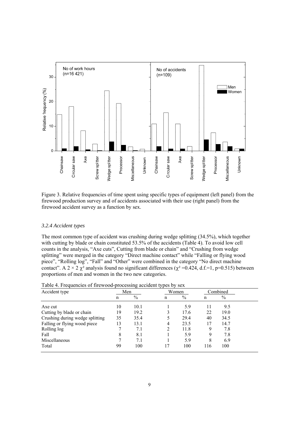

Figure 3. Relative frequencies of time spent using specific types of equipment (left panel) from the firewood production survey and of accidents associated with their use (right panel) from the firewood accident survey as a function by sex.

#### *3.2.4 Accident types*

The most common type of accident was crushing during wedge splitting (34.5%), which together with cutting by blade or chain constituted 53.5% of the accidents (Table 4). To avoid low cell counts in the analysis, "Axe cuts", Cutting from blade or chain" and "Crushing from wedge splitting" were merged in the category "Direct machine contact" while "Falling or flying wood piece", "Rolling log", "Fall" and "Other" were combined in the category "No direct machine contact". A  $2 \times 2 \chi^2$  analysis found no significant differences ( $\chi^2$ =0.424, d.f.=1, p=0.515) between proportions of men and women in the two new categories.

| Accident type                   | Men |               | Women |      |     | Combined |
|---------------------------------|-----|---------------|-------|------|-----|----------|
|                                 | n   | $\frac{0}{0}$ | n     | $\%$ | n   | $\%$     |
| Axe cut                         | 10  | 10.1          |       | 5.9  | 11  | 9.5      |
| Cutting by blade or chain       | 19  | 19.2          | 3     | 17.6 | 22  | 19.0     |
| Crushing during wedge splitting | 35  | 35.4          |       | 29.4 | 40  | 34.5     |
| Falling or flying wood piece    | 13  | 13.1          | 4     | 23.5 | 17  | 14.7     |
| Rolling log                     |     | 7.1           | 2     | 11.8 | 9   | 7.8      |
| Fall                            | 8   | 8.1           |       | 5.9  | 9   | 7.8      |
| Miscellaneous                   |     | 7.1           |       | 5.9  | 8   | 6.9      |
| Total                           | 99  | 100           | 17    | 100  | 116 | 100      |

|  |  | Table 4. Frequencies of firewood-processing accident types by sex |  |
|--|--|-------------------------------------------------------------------|--|
|  |  |                                                                   |  |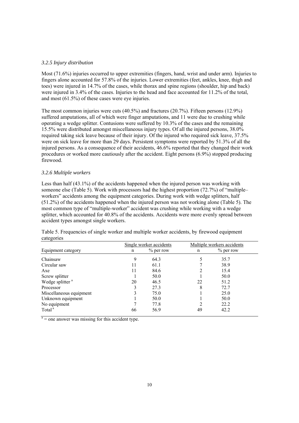#### *3.2.5 Injury distribution*

Most (71.6%) injuries occurred to upper extremities (fingers, hand, wrist and under arm). Injuries to fingers alone accounted for 57.8% of the injuries. Lower extremities (feet, ankles, knee, thigh and toes) were injured in 14.7% of the cases, while thorax and spine regions (shoulder, hip and back) were injured in 3.4% of the cases. Injuries to the head and face accounted for 11.2% of the total, and most (61.5%) of these cases were eye injuries.

The most common injuries were cuts (40.5%) and fractures (20.7%). Fifteen persons (12.9%) suffered amputations, all of which were finger amputations, and 11 were due to crushing while operating a wedge splitter. Contusions were suffered by 10.3% of the cases and the remaining 15.5% were distributed amongst miscellaneous injury types. Of all the injured persons, 38.0% required taking sick leave because of their injury. Of the injured who required sick leave, 37.5% were on sick leave for more than 29 days. Persistent symptoms were reported by 51.3% of all the injured persons. As a consequence of their accidents, 46.6% reported that they changed their work procedures or worked more cautiously after the accident. Eight persons (6.9%) stopped producing firewood.

#### *3.2.6 Multiple workers*

Less than half (43.1%) of the accidents happened when the injured person was working with someone else (Table 5). Work with processors had the highest proportion (72.7%) of "multipleworkers" accidents among the equipment categories. During work with wedge splitters, half (51.2%) of the accidents happened when the injured person was not working alone (Table 5). The most common type of "multiple-worker" accident was crushing while working with a wedge splitter, which accounted for 40.8% of the accidents. Accidents were more evenly spread between accident types amongst single workers.

| Table 5. Frequencies of single worker and multiple worker accidents, by firewood equipment |                         |                            |
|--------------------------------------------------------------------------------------------|-------------------------|----------------------------|
| categories                                                                                 |                         |                            |
|                                                                                            | Single worker accidents | Multiple workers accidents |

|                             | Single worker accidents |             |    | Multiple workers accidents |
|-----------------------------|-------------------------|-------------|----|----------------------------|
| Equipment category          | n                       | $%$ per row | n  | $%$ per row                |
| Chainsaw                    | 9                       | 64.3        |    | 35.7                       |
| Circular saw                | 11                      | 61.1        |    | 38.9                       |
| Axe                         | 11                      | 84.6        |    | 15.4                       |
| Screw splitter              |                         | 50.0        |    | 50.0                       |
| Wedge splitter <sup>a</sup> | 20                      | 46.5        | 22 | 51.2                       |
| Processor                   | 3                       | 27.3        | 8  | 72.7                       |
| Miscellaneous equipment     | 3                       | 75.0        |    | 25.0                       |
| Unknown equipment           |                         | 50.0        |    | 50.0                       |
| No equipment                | ┑                       | 77.8        |    | 22.2                       |
| Total <sup>a</sup>          | 66                      | 56.9        | 49 | 42.2                       |

 $a =$  one answer was missing for this accident type.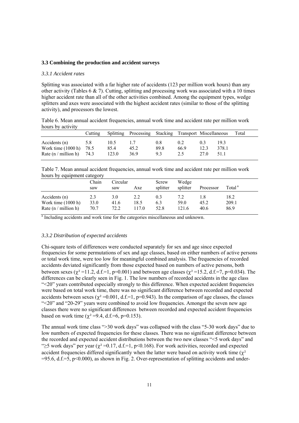#### **3.3 Combining the production and accident surveys**

#### *3.3.1 Accident rates*

Splitting was associated with a far higher rate of accidents (123 per million work hours) than any other activity (Tables 6  $\&$  7). Cutting, splitting and processing work was associated with a 10 times higher accident rate than all of the other activities combined. Among the equipment types, wedge splitters and axes were associated with the highest accident rates (similar to those of the splitting activity), and processors the lowest.

Table 6. Mean annual accident frequencies, annual work time and accident rate per million work hours by activity

|                                                                      | Cutting     |                       | Splitting Processing Stacking Transport Miscellaneous |                    |                    |                     |                      | Total |
|----------------------------------------------------------------------|-------------|-----------------------|-------------------------------------------------------|--------------------|--------------------|---------------------|----------------------|-------|
| Accidents (n)<br>Work time $(1000 h)$<br>Rate $(n / million h)$ 74.3 | 5.8<br>78.5 | 10.5<br>85.4<br>123.0 | 45.2<br>36.9                                          | 0.8<br>89.8<br>9.3 | 0.2<br>66.9<br>2.5 | 0.3<br>12.3<br>27 O | 193<br>378.1<br>51 1 |       |

Table 7. Mean annual accident frequencies, annual work time and accident rate per million work hours by equipment category

|                                                                 | Chain<br>saw        | Circular<br>saw     | Axe                  | Screw<br>splitter  | Wedge<br>splitter    | Processor    | Total <sup>a</sup>    |
|-----------------------------------------------------------------|---------------------|---------------------|----------------------|--------------------|----------------------|--------------|-----------------------|
| Accidents (n)<br>Work time $(1000 h)$<br>Rate $(n / million h)$ | 2.3<br>33.0<br>70.7 | 3.0<br>41.6<br>72.2 | 2.2<br>18.5<br>117.0 | 0.3<br>6.3<br>52.8 | 7.2<br>59.0<br>121.6 | 45.2<br>40.6 | 18.2<br>209.1<br>86.9 |

<sup>a</sup> Including accidents and work time for the categories miscellaneous and unknown.

#### *3.3.2 Distribution of expected accidents*

Chi-square tests of differences were conducted separately for sex and age since expected frequencies for some permutations of sex and age classes, based on either numbers of active persons or total work time, were too low for meaningful combined analysis. The frequencies of recorded accidents deviated significantly from those expected based on numbers of active persons, both between sexes ( $χ² =11.2$ , d.f.=1, p=0.001) and between age classes ( $χ² =15.2$ , d.f.=7, p=0.034). The differences can be clearly seen in Fig. 1. The low numbers of recorded accidents in the age class "<20" years contributed especially strongly to this difference. When expected accident frequencies were based on total work time, there was no significant difference between recorded and expected accidents between sexes ( $\chi^2$  =0.001, d.f.=1, p=0.943). In the comparison of age classes, the classes "<20" and "20-29" years were combined to avoid low frequencies. Amongst the seven new age classes there were no significant differences between recorded and expected accident frequencies based on work time ( $\chi^2$  =9.4, d.f.=6, p=0.153).

The annual work time class ">30 work days" was collapsed with the class "5-30 work days" due to low numbers of expected frequencies for these classes. There was no significant difference between the recorded and expected accident distributions between the two new classes "<5 work days" and " $\geq$ 5 work days" per year ( $\chi^2$  =0.17, d.f.=1, p<0.168). For work activities, recorded and expected accident frequencies differed significantly when the latter were based on activity work time ( $\chi^2$ )  $=95.6$ , d.f.=5, p<0.000), as shown in Fig. 2. Over-representation of splitting accidents and under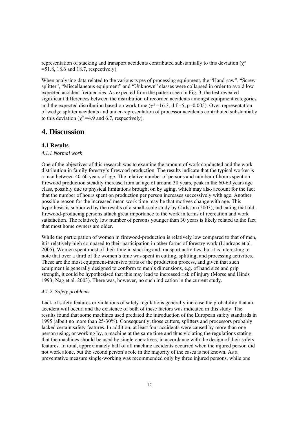representation of stacking and transport accidents contributed substantially to this deviation ( $\chi^2$ )  $=51.8$ , 18.6 and 18.7, respectively).

When analysing data related to the various types of processing equipment, the "Hand-saw", "Screw splitter", "Miscellaneous equipment" and "Unknown" classes were collapsed in order to avoid low expected accident frequencies. As expected from the pattern seen in Fig. 3, the test revealed significant differences between the distribution of recorded accidents amongst equipment categories and the expected distribution based on work time ( $\chi^2$ =16.3, d.f.=5, p=0.005). Over-representation of wedge splitter accidents and under-representation of processor accidents contributed substantially to this deviation ( $\chi^2$  =4.9 and 6.7, respectively).

## **4. Discussion**

## **4.1 Results**

### *4.1.1 Normal work*

One of the objectives of this research was to examine the amount of work conducted and the work distribution in family forestry's firewood production. The results indicate that the typical worker is a man between 40-60 years of age. The relative number of persons and number of hours spent on firewood production steadily increase from an age of around 30 years, peak in the 60-69 years age class, possibly due to physical limitations brought on by aging, which may also account for the fact that the number of hours spent on production per person increases successively with age. Another possible reason for the increased mean work time may be that motives change with age. This hypothesis is supported by the results of a small-scale study by Carlsson (2003), indicating that old, firewood-producing persons attach great importance to the work in terms of recreation and work satisfaction. The relatively low number of persons younger than 30 years is likely related to the fact that most home owners are older.

While the participation of women in firewood-production is relatively low compared to that of men, it is relatively high compared to their participation in other forms of forestry work (Lindroos et al. 2005). Women spent most of their time in stacking and transport activities, but it is interesting to note that over a third of the women's time was spent in cutting, splitting, and processing activities. These are the most equipment-intensive parts of the production process, and given that such equipment is generally designed to conform to men's dimensions, e.g. of hand size and grip strength, it could be hypothesised that this may lead to increased risk of injury (Morse and Hinds 1993; Nag et al. 2003). There was, however, no such indication in the current study.

#### *4.1.2. Safety problems*

Lack of safety features or violations of safety regulations generally increase the probability that an accident will occur, and the existence of both of these factors was indicated in this study. The results found that some machines used predated the introduction of the European safety standards in 1995 (albeit no more than 25-30%). Consequently, those cutters, splitters and processors probably lacked certain safety features. In addition, at least four accidents were caused by more than one person using, or working by, a machine at the same time and thus violating the regulations stating that the machines should be used by single operatives, in accordance with the design of their safety features. In total, approximately half of all machine accidents occurred when the injured person did not work alone, but the second person's role in the majority of the cases is not known. As a preventative measure single-working was recommended only by three injured persons, while one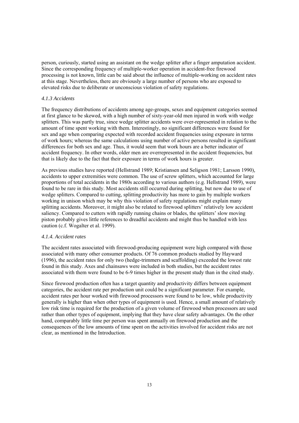person, curiously, started using an assistant on the wedge splitter after a finger amputation accident. Since the corresponding frequency of multiple-worker operation in accident-free firewood processing is not known, little can be said about the influence of multiple-working on accident rates at this stage. Nevertheless, there are obviously a large number of persons who are exposed to elevated risks due to deliberate or unconscious violation of safety regulations.

#### *4.1.3 Accidents*

The frequency distributions of accidents among age-groups, sexes and equipment categories seemed at first glance to be skewed, with a high number of sixty-year-old men injured in work with wedge splitters. This was partly true, since wedge splitter accidents were over-represented in relation to the amount of time spent working with them. Interestingly, no significant differences were found for sex and age when comparing expected with recorded accident frequencies using exposure in terms of work hours; whereas the same calculations using number of active persons resulted in significant differences for both sex and age. Thus, it would seem that work hours are a better indicator of accident frequency. In other words, older men are overrepresented in the accident frequencies, but that is likely due to the fact that their exposure in terms of work hours is greater.

As previous studies have reported (Hellstrand 1989; Kristiansen and Seligson 1981; Larsson 1990)*,* accidents to upper extremities were common. The use of screw splitters, which accounted for large proportions of total accidents in the 1980s according to various authors (e.g. Hellstrand 1989), were found to be rare in this study. Most accidents still occurred during splitting, but now due to use of wedge splitters. Compared to cutting, splitting productivity has more to gain by multiple workers working in unison which may be why this violation of safety regulations might explain many splitting accidents. Moreover, it might also be related to firewood splitters' relatively low accident saliency. Compared to cutters with rapidly running chains or blades, the splitters' slow moving piston probably gives little references to dreadful accidents and might thus be handled with less caution (c.f. Wogalter et al. 1999).

#### *4.1.4. Accident rates*

The accident rates associated with firewood-producing equipment were high compared with those associated with many other consumer products. Of 76 common products studied by Hayward (1996), the accident rates for only two (hedge-trimmers and scaffolding) exceeded the lowest rate found in this study. Axes and chainsaws were included in both studies, but the accident rates associated with them were found to be 6-9 times higher in the present study than in the cited study.

Since firewood production often has a target quantity and productivity differs between equipment categories, the accident rate per production unit could be a significant parameter. For example, accident rates per hour worked with firewood processors were found to be low, while productivity generally is higher than when other types of equipment is used. Hence, a small amount of relatively low risk time is required for the production of a given volume of firewood when processors are used rather than other types of equipment, implying that they have clear safety advantages. On the other hand, comparably little time per person was spent annually on firewood production and the consequences of the low amounts of time spent on the activities involved for accident risks are not clear, as mentioned in the Introduction.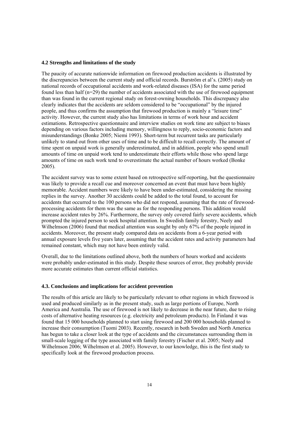#### **4.2 Strengths and limitations of the study**

The paucity of accurate nationwide information on firewood production accidents is illustrated by the discrepancies between the current study and official records. Burström et al's. (2005) study on national records of occupational accidents and work-related diseases (ISA) for the same period found less than half  $(n=29)$  the number of accidents associated with the use of firewood equipment than was found in the current regional study on forest-owning households. This discrepancy also clearly indicates that the accidents are seldom considered to be "occupational" by the injured people, and thus confirms the assumption that firewood production is mainly a "leisure time" activity. However, the current study also has limitations in terms of work hour and accident estimations. Retrospective questionnaire and interview studies on work time are subject to biases depending on various factors including memory, willingness to reply, socio-economic factors and misunderstandings (Bonke 2005; Niemi 1993). Short-term but recurrent tasks are particularly unlikely to stand out from other uses of time and to be difficult to recall correctly. The amount of time spent on unpaid work is generally underestimated, and in addition, people who spend small amounts of time on unpaid work tend to underestimate their efforts while those who spend large amounts of time on such work tend to overestimate the actual number of hours worked (Bonke 2005).

The accident survey was to some extent based on retrospective self-reporting, but the questionnaire was likely to provide a recall cue and moreover concerned an event that must have been highly memorable. Accident numbers were likely to have been under-estimated, considering the missing replies in the survey. Another 30 accidents could be added to the total found, to account for accidents that occurred to the 100 persons who did not respond, assuming that the rate of firewoodprocessing accidents for them was the same as for the responding persons. This addition would increase accident rates by 26%. Furthermore, the survey only covered fairly severe accidents, which prompted the injured person to seek hospital attention. In Swedish family forestry, Neely and Wilhelmson (2006) found that medical attention was sought by only 67% of the people injured in accidents. Moreover, the present study compared data on accidents from a 6-year period with annual exposure levels five years later, assuming that the accident rates and activity parameters had remained constant, which may not have been entirely valid.

Overall, due to the limitations outlined above, both the numbers of hours worked and accidents were probably under-estimated in this study. Despite these sources of error, they probably provide more accurate estimates than current official statistics.

#### **4.3. Conclusions and implications for accident prevention**

The results of this article are likely to be particularly relevant to other regions in which firewood is used and produced similarly as in the present study, such as large portions of Europe, North America and Australia. The use of firewood is not likely to decrease in the near future, due to rising costs of alternative heating resources (e.g. electricity and petroleum products). In Finland it was found that 15 000 households planned to start using firewood and 200 000 households planned to increase their consumption (Tuomi 2003). Recently, research in both Sweden and North America has begun to take a closer look at the type of accidents and the circumstances surrounding them in small-scale logging of the type associated with family forestry (Fischer et al. 2005; Neely and Wilhelmson 2006; Wilhelmson et al. 2005). However, to our knowledge, this is the first study to specifically look at the firewood production process.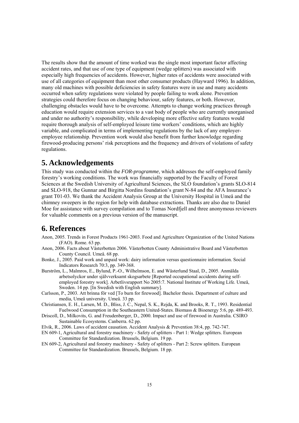The results show that the amount of time worked was the single most important factor affecting accident rates, and that use of one type of equipment (wedge splitters) was associated with especially high frequencies of accidents. However, higher rates of accidents were associated with use of all categories of equipment than most other consumer products (Hayward 1996). In addition, many old machines with possible deficiencies in safety features were in use and many accidents occurred when safety regulations were violated by people failing to work alone. Prevention strategies could therefore focus on changing behaviour, safety features, or both. However, challenging obstacles would have to be overcome. Attempts to change working practices through education would require extension services to a vast body of people who are currently unorganised and under no authority's responsibility, while developing more effective safety features would require thorough analysis of self-employed leisure time workers' conditions, which are highly variable, and complicated in terms of implementing regulations by the lack of any employeremployee relationship. Prevention work would also benefit from further knowledge regarding firewood-producing persons' risk perceptions and the frequency and drivers of violations of safety regulations.

## **5. Acknowledgements**

This study was conducted within the *FOR-programme*, which addresses the self-employed family forestry's working conditions. The work was financially supported by the Faculty of Forest Sciences at the Swedish University of Agricultural Sciences, the SLO foundation's grants SLO-814 and SLO-918, the Gunnar and Birgitta Nordins foundation's grant N-84 and the AFA Insurance's grant T01-03. We thank the Accident Analysis Group at the University Hospital in Umeå and the chimney sweepers in the region for help with database extractions. Thanks are also due to Daniel Moe for assistance with survey compilation and to Tomas Nordfjell and three anonymous reviewers for valuable comments on a previous version of the manuscript.

# **6. References**

- Anon, 2005. Trends in Forest Products 1961-2003. Food and Agriculture Organization of the United Nations (FAO). Rome. 63 pp.
- Anon, 2006. Facts about Västerbotten 2006. Västerbotten County Administrative Board and Västerbotten County Council. Umeå. 68 pp.
- Bonke, J., 2005. Paid work and unpaid work: dairy information versus questionnaire information. Social Indicators Research 70:3, pp. 349-368.
- Burström, L., Malmros, E., Bylund, P.-O., Wilhelmson, E. and Wästerlund Staal, D., 2005. Anmälda arbetsolyckor under självverksamt skogsarbete [Reported occupational accidents during selfemployed forestry work]. Arbetlivsrapport No 2005:7. National Institute of Working Life. Umeå, Sweden. 14 pp. [In Swedish with English summary].
- Carlsson, P., 2003. Att brinna för ved [To burn for firewood]. Bachelor thesis. Department of culture and media, Umeå university. Umeå. 33 pp.
- Christiansen, E. H., Larsen, M. D., Bliss, J. C., Nepal, S. K., Rejda, K. and Brooks, R. T., 1993. Residential Fuelwood Consumption in the Southeastern United-States. Biomass & Bioenergy 5:6, pp. 489-493.
- Driscoll, D., Milkovits, G. and Freudenberger, D., 2000. Impact and use of firewood in Australia. CSIRO Sustainable Ecosystems. Canberra. 62 pp.
- Elvik, R., 2006. Laws of accident causation. Accident Analysis & Prevention 38:4, pp. 742-747.
- EN 609-1, Agricultural and forestry machinery Safety of splitters Part 1: Wedge splitters. European Committee for Standardization. Brussels, Belgium. 19 pp.
- EN 609-2, Agricultural and forestry machinery Safety of splitters Part 2: Screw splitters. European Committee for Standardization. Brussels, Belgium. 18 pp.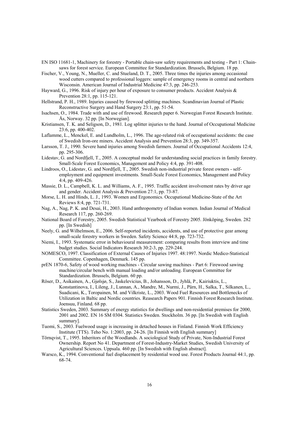- EN ISO 11681-1, Machinery for forestry Portable chain-saw safety requirements and testing Part 1: Chainsaws for forest service. European Committee for Standardization. Brussels, Belgium. 18 pp.
- Fischer, V., Young, N., Mueller, C. and Stueland, D. T., 2005. Three times the injuries among occasional wood cutters compared to professional loggers: sample of emergency rooms in central and northern Wisconsin. American Journal of Industrial Medicine 47:3, pp. 246-253.
- Hayward, G., 1996. Risk of injury per hour of exposure to consumer products. Accident Analysis & Prevention 28:1, pp. 115-121.
- Hellstrand, P. H., 1989. Injuries caused by firewood splitting machines. Scandinavian Journal of Plastic Reconstructive Surgery and Hand Surgery 23:1, pp. 51-54.
- Isachsen, O., 1984. Trade with and use of firewood. Research paper 6. Norwegian Forest Research Institute. Ås, Norway. 32 pp. [In Norwegian].
- Kristiansen, T. K. and Seligson, D., 1981. Log splitter injuries to the hand. Journal of Occupational Medicine 23:6, pp. 400-402.
- Laflamme, L., Menckel, E. and Lundholm, L., 1996. The age-related risk of occupational accidents: the case of Swedish Iron-ore miners. Accident Analysis and Prevention 28:3, pp. 349-357.
- Larsson, T. J., 1990. Severe hand injuries among Swedish farmers. Journal of Occupational Accidents 12:4, pp. 295-306.
- Lidestav, G. and Nordfjell, T., 2005. A conceptual model for understanding social practices in family forestry. Small-Scale Forest Economics, Management and Policy 4:4, pp. 391-408.
- Lindroos, O., Lidestav, G. and Nordfjell, T., 2005. Swedish non-industrial private forest owners selfemployment and equipment investments. Small-Scale Forest Economics, Management and Policy 4:4, pp. 409-426.
- Massie, D. L., Campbell, K. L. and Williams, A. F., 1995. Traffic accident involvement rates by driver age and gender. Accident Analysis & Prevention 27:1, pp. 73-87.
- Morse, L. H. and Hinds, L. J., 1993. Women and Ergonomics. Occupational Medicine-State of the Art Reviews 8:4, pp. 721-731.
- Nag, A., Nag, P. K. and Desai, H., 2003. Hand anthropometry of Indian women. Indian Journal of Medical Research 117, pp. 260-269.
- National Board of Forestry, 2005. Swedish Statistical Yearbook of Forestry 2005. Jönköping, Sweden. 282 pp. [In Swedish]
- Neely, G. and Wilhelmson, E., 2006. Self-reported incidents, accidents, and use of protective gear among small-scale forestry workers in Sweden. Safety Science 44:8, pp. 723-732.
- Niemi, I., 1993. Systematic error in behavioural measurement: comparing results from interview and time budget studies. Social Indicators Research 30:2-3, pp. 229-244.
- NOMESCO, 1997. Classification of External Causes of Injuries 1997. 48:1997. Nordic Medico-Statistical Committee. Copenhagen, Denmark. 145 pp.
- prEN 1870-6, Safety of wood working machines Circular sawing machines Part 6: Firewood sawing machine/circular bench with manual loading and/or unloading. European Committee for Standardization. Brussels, Belgium. 60 pp.
- Röser, D., Asikainen, A., Gjølsjø, S., Jaskelevicius, B., Johansson, D., Jyhlä, P., Kairiuktis, L., Konstantinova, I., Lileng, J., Lunnan, A., Mandre, M., Nurmi, J., Pärn, H., Salka, T., Silkanen, L., Suadicani, K., Toropainen, M. and Vilkriste, L., 2003. Wood Fuel Resources and Bottlenecks of Utilization in Baltic and Nordic countries. Reasearch Papers 901. Finnish Forest Research Institute. Joensuu, Finland. 68 pp.
- Statistics Sweden, 2003. Summary of energy statistics for dwellings and non-residential premises for 2000, 2001 and 2002. EN 16 SM 0304. Statistics Sweden. Stockholm. 36 pp. [In Swedish with English summary].
- Tuomi, S., 2003. Fuelwood usage is increasing in detached houses in Finland. Finnish Work Efficiency Institute (TTS). Teho No. 1:2003, pp. 24-26. [In Finnish with English summary]
- Törnqvist, T., 1995. Inheritors of the Woodlands. A sociological Study of Private, Non-Industrial Forest Ownership. Report No 41. Department of Forest-Industry-Market Studies, Swedish University of Agricultural Sciences. Uppsala. 460 pp. [In Swedish with English abstract].
- Warsco, K., 1994. Conventional fuel displacement by residential wood use. Forest Products Journal 44:1, pp. 68-74.